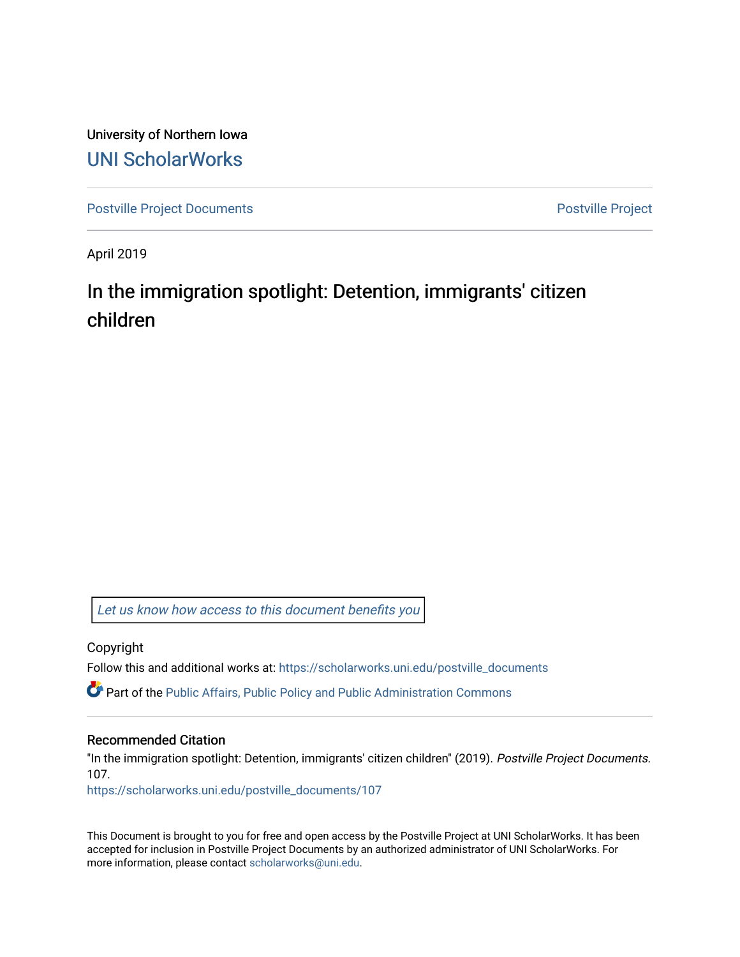University of Northern Iowa [UNI ScholarWorks](https://scholarworks.uni.edu/) 

[Postville Project Documents](https://scholarworks.uni.edu/postville_documents) **Postville Project** 

April 2019

## In the immigration spotlight: Detention, immigrants' citizen children

[Let us know how access to this document benefits you](https://scholarworks.uni.edu/feedback_form.html) 

Copyright

Follow this and additional works at: [https://scholarworks.uni.edu/postville\\_documents](https://scholarworks.uni.edu/postville_documents?utm_source=scholarworks.uni.edu%2Fpostville_documents%2F107&utm_medium=PDF&utm_campaign=PDFCoverPages) 

Part of the [Public Affairs, Public Policy and Public Administration Commons](http://network.bepress.com/hgg/discipline/393?utm_source=scholarworks.uni.edu%2Fpostville_documents%2F107&utm_medium=PDF&utm_campaign=PDFCoverPages) 

## Recommended Citation

"In the immigration spotlight: Detention, immigrants' citizen children" (2019). Postville Project Documents. 107.

[https://scholarworks.uni.edu/postville\\_documents/107](https://scholarworks.uni.edu/postville_documents/107?utm_source=scholarworks.uni.edu%2Fpostville_documents%2F107&utm_medium=PDF&utm_campaign=PDFCoverPages) 

This Document is brought to you for free and open access by the Postville Project at UNI ScholarWorks. It has been accepted for inclusion in Postville Project Documents by an authorized administrator of UNI ScholarWorks. For more information, please contact [scholarworks@uni.edu.](mailto:scholarworks@uni.edu)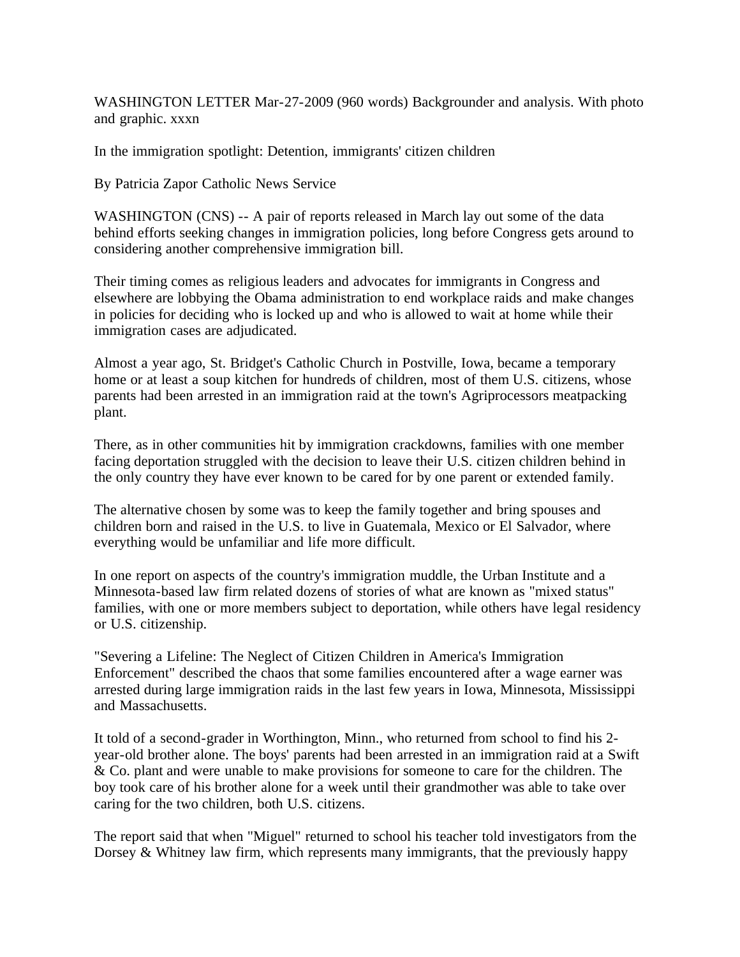WASHINGTON LETTER Mar-27-2009 (960 words) Backgrounder and analysis. With photo and graphic. xxxn

In the immigration spotlight: Detention, immigrants' citizen children

By Patricia Zapor Catholic News Service

WASHINGTON (CNS) -- A pair of reports released in March lay out some of the data behind efforts seeking changes in immigration policies, long before Congress gets around to considering another comprehensive immigration bill.

Their timing comes as religious leaders and advocates for immigrants in Congress and elsewhere are lobbying the Obama administration to end workplace raids and make changes in policies for deciding who is locked up and who is allowed to wait at home while their immigration cases are adjudicated.

Almost a year ago, St. Bridget's Catholic Church in Postville, Iowa, became a temporary home or at least a soup kitchen for hundreds of children, most of them U.S. citizens, whose parents had been arrested in an immigration raid at the town's Agriprocessors meatpacking plant.

There, as in other communities hit by immigration crackdowns, families with one member facing deportation struggled with the decision to leave their U.S. citizen children behind in the only country they have ever known to be cared for by one parent or extended family.

The alternative chosen by some was to keep the family together and bring spouses and children born and raised in the U.S. to live in Guatemala, Mexico or El Salvador, where everything would be unfamiliar and life more difficult.

In one report on aspects of the country's immigration muddle, the Urban Institute and a Minnesota-based law firm related dozens of stories of what are known as "mixed status" families, with one or more members subject to deportation, while others have legal residency or U.S. citizenship.

"Severing a Lifeline: The Neglect of Citizen Children in America's Immigration Enforcement" described the chaos that some families encountered after a wage earner was arrested during large immigration raids in the last few years in Iowa, Minnesota, Mississippi and Massachusetts.

It told of a second-grader in Worthington, Minn., who returned from school to find his 2 year-old brother alone. The boys' parents had been arrested in an immigration raid at a Swift & Co. plant and were unable to make provisions for someone to care for the children. The boy took care of his brother alone for a week until their grandmother was able to take over caring for the two children, both U.S. citizens.

The report said that when "Miguel" returned to school his teacher told investigators from the Dorsey  $\&$  Whitney law firm, which represents many immigrants, that the previously happy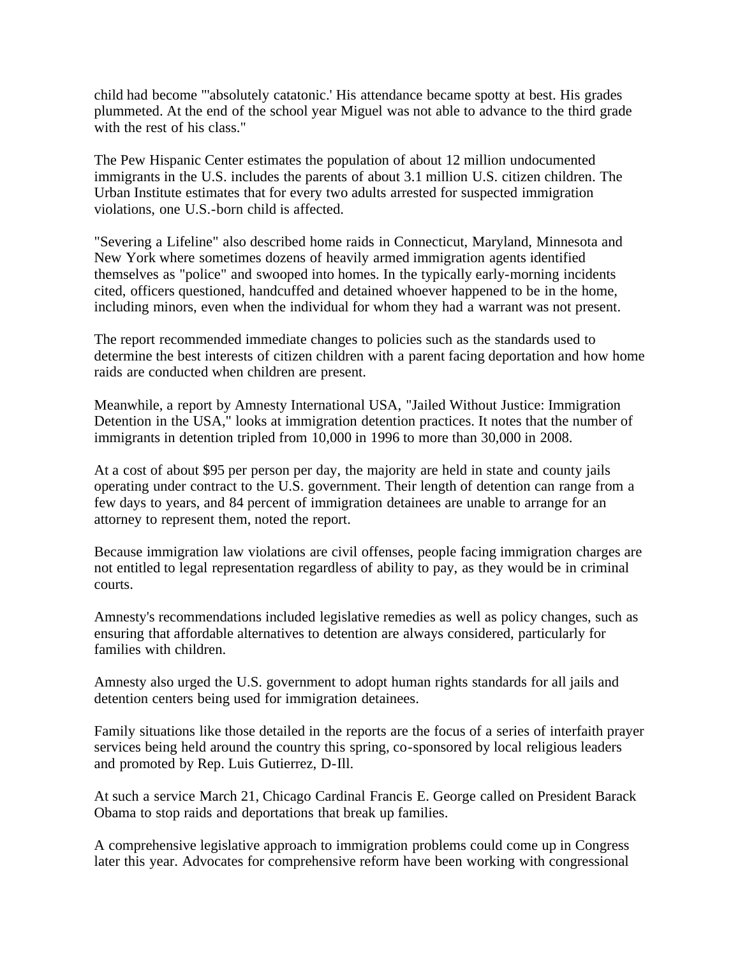child had become "'absolutely catatonic.' His attendance became spotty at best. His grades plummeted. At the end of the school year Miguel was not able to advance to the third grade with the rest of his class."

The Pew Hispanic Center estimates the population of about 12 million undocumented immigrants in the U.S. includes the parents of about 3.1 million U.S. citizen children. The Urban Institute estimates that for every two adults arrested for suspected immigration violations, one U.S.-born child is affected.

"Severing a Lifeline" also described home raids in Connecticut, Maryland, Minnesota and New York where sometimes dozens of heavily armed immigration agents identified themselves as "police" and swooped into homes. In the typically early-morning incidents cited, officers questioned, handcuffed and detained whoever happened to be in the home, including minors, even when the individual for whom they had a warrant was not present.

The report recommended immediate changes to policies such as the standards used to determine the best interests of citizen children with a parent facing deportation and how home raids are conducted when children are present.

Meanwhile, a report by Amnesty International USA, "Jailed Without Justice: Immigration Detention in the USA," looks at immigration detention practices. It notes that the number of immigrants in detention tripled from 10,000 in 1996 to more than 30,000 in 2008.

At a cost of about \$95 per person per day, the majority are held in state and county jails operating under contract to the U.S. government. Their length of detention can range from a few days to years, and 84 percent of immigration detainees are unable to arrange for an attorney to represent them, noted the report.

Because immigration law violations are civil offenses, people facing immigration charges are not entitled to legal representation regardless of ability to pay, as they would be in criminal courts.

Amnesty's recommendations included legislative remedies as well as policy changes, such as ensuring that affordable alternatives to detention are always considered, particularly for families with children.

Amnesty also urged the U.S. government to adopt human rights standards for all jails and detention centers being used for immigration detainees.

Family situations like those detailed in the reports are the focus of a series of interfaith prayer services being held around the country this spring, co-sponsored by local religious leaders and promoted by Rep. Luis Gutierrez, D-Ill.

At such a service March 21, Chicago Cardinal Francis E. George called on President Barack Obama to stop raids and deportations that break up families.

A comprehensive legislative approach to immigration problems could come up in Congress later this year. Advocates for comprehensive reform have been working with congressional